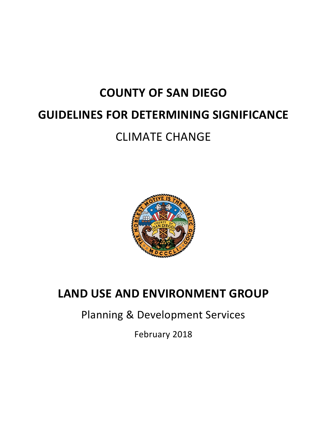# **COUNTY OF SAN DIEGO GUIDELINES FOR DETERMINING SIGNIFICANCE** CLIMATE CHANGE



# **LAND USE AND ENVIRONMENT GROUP**

Planning & Development Services

February 2018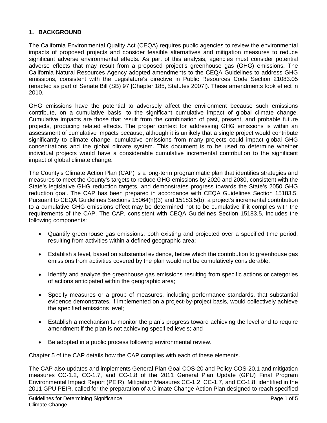#### **1. BACKGROUND**

The California Environmental Quality Act (CEQA) requires public agencies to review the environmental impacts of proposed projects and consider feasible alternatives and mitigation measures to reduce significant adverse environmental effects. As part of this analysis, agencies must consider potential adverse effects that may result from a proposed project's greenhouse gas (GHG) emissions. The California Natural Resources Agency adopted amendments to the CEQA Guidelines to address GHG emissions, consistent with the Legislature's directive in Public Resources Code Section 21083.05 (enacted as part of Senate Bill (SB) 97 [Chapter 185, Statutes 2007]). These amendments took effect in 2010.

GHG emissions have the potential to adversely affect the environment because such emissions contribute, on a cumulative basis, to the significant cumulative impact of global climate change. Cumulative impacts are those that result from the combination of past, present, and probable future projects, producing related effects. The proper context for addressing GHG emissions is within an assessment of cumulative impacts because, although it is unlikely that a single project would contribute significantly to climate change, cumulative emissions from many projects could impact global GHG concentrations and the global climate system. This document is to be used to determine whether individual projects would have a considerable cumulative incremental contribution to the significant impact of global climate change.

The County's Climate Action Plan (CAP) is a long-term programmatic plan that identifies strategies and measures to meet the County's targets to reduce GHG emissions by 2020 and 2030, consistent with the State's legislative GHG reduction targets, and demonstrates progress towards the State's 2050 GHG reduction goal. The CAP has been prepared in accordance with CEQA Guidelines Section 15183.5. Pursuant to CEQA Guidelines Sections 15064(h)(3) and 15183.5(b), a project's incremental contribution to a cumulative GHG emissions effect may be determined not to be cumulative if it complies with the requirements of the CAP. The CAP, consistent with CEQA Guidelines Section 15183.5, includes the following components:

- Quantify greenhouse gas emissions, both existing and projected over a specified time period, resulting from activities within a defined geographic area;
- Establish a level, based on substantial evidence, below which the contribution to greenhouse gas emissions from activities covered by the plan would not be cumulatively considerable;
- Identify and analyze the greenhouse gas emissions resulting from specific actions or categories of actions anticipated within the geographic area;
- Specify measures or a group of measures, including performance standards, that substantial evidence demonstrates, if implemented on a project-by-project basis, would collectively achieve the specified emissions level;
- Establish a mechanism to monitor the plan's progress toward achieving the level and to require amendment if the plan is not achieving specified levels; and
- Be adopted in a public process following environmental review.

Chapter 5 of the CAP details how the CAP complies with each of these elements.

The CAP also updates and implements General Plan Goal COS-20 and Policy COS-20.1 and mitigation measures CC-1.2, CC-1.7, and CC-1.8 of the 2011 General Plan Update (GPU) Final Program Environmental Impact Report (PEIR). Mitigation Measures CC-1.2, CC-1.7, and CC-1.8, identified in the 2011 GPU PEIR, called for the preparation of a Climate Change Action Plan designed to reach specified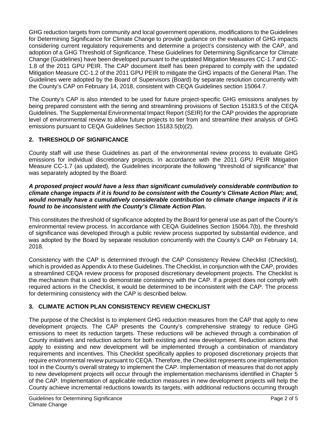GHG reduction targets from community and local government operations, modifications to the Guidelines for Determining Significance for Climate Change to provide guidance on the evaluation of GHG impacts considering current regulatory requirements and determine a project's consistency with the CAP, and adoption of a GHG Threshold of Significance. These Guidelines for Determining Significance for Climate Change (Guidelines) have been developed pursuant to the updated Mitigation Measures CC-1.7 and CC-1.8 of the 2011 GPU PEIR. The CAP document itself has been prepared to comply with the updated Mitigation Measure CC-1.2 of the 2011 GPU PEIR to mitigate the GHG impacts of the General Plan. The Guidelines were adopted by the Board of Supervisors (Board) by separate resolution concurrently with the County's CAP on February 14, 2018, consistent with CEQA Guidelines section 15064.7.

The County's CAP is also intended to be used for future project-specific GHG emissions analyses by being prepared consistent with the tiering and streamlining provisions of Section 15183.5 of the CEQA Guidelines. The Supplemental Environmental Impact Report (SEIR) for the CAP provides the appropriate level of environmental review to allow future projects to tier from and streamline their analysis of GHG emissions pursuant to CEQA Guidelines Section 15183.5(b)(2).

### **2. THRESHOLD OF SIGNIFICANCE**

County staff will use these Guidelines as part of the environmental review process to evaluate GHG emissions for individual discretionary projects. In accordance with the 2011 GPU PEIR Mitigation Measure CC-1.7 (as updated), the Guidelines incorporate the following "threshold of significance" that was separately adopted by the Board:

#### *A proposed project would have a less than significant cumulatively considerable contribution to climate change impacts if it is found to be consistent with the County's Climate Action Plan; and, would normally have a cumulatively considerable contribution to climate change impacts if it is found to be inconsistent with the County's Climate Action Plan.*

This constitutes the threshold of significance adopted by the Board for general use as part of the County's environmental review process. In accordance with CEQA Guidelines Section 15064.7(b), the threshold of significance was developed through a public review process supported by substantial evidence, and was adopted by the Board by separate resolution concurrently with the County's CAP on February 14, 2018.

Consistency with the CAP is determined through the CAP Consistency Review Checklist (Checklist), which is provided as Appendix A to these Guidelines. The Checklist, in conjunction with the CAP, provides a streamlined CEQA review process for proposed discretionary development projects. The Checklist is the mechanism that is used to demonstrate consistency with the CAP. If a project does not comply with required actions in the Checklist, it would be determined to be inconsistent with the CAP. The process for determining consistency with the CAP is described below.

## **3. CLIMATE ACTION PLAN CONSISTENCY REVIEW CHECKLIST**

The purpose of the Checklist is to implement GHG reduction measures from the CAP that apply to new development projects. The CAP presents the County's comprehensive strategy to reduce GHG emissions to meet its reduction targets. These reductions will be achieved through a combination of County initiatives and reduction actions for both existing and new development. Reduction actions that apply to existing and new development will be implemented through a combination of mandatory requirements and incentives. This Checklist specifically applies to proposed discretionary projects that require environmental review pursuant to CEQA. Therefore, the Checklist represents one implementation tool in the County's overall strategy to implement the CAP. Implementation of measures that do not apply to new development projects will occur through the implementation mechanisms identified in Chapter 5 of the CAP. Implementation of applicable reduction measures in new development projects will help the County achieve incremental reductions towards its targets, with additional reductions occurring through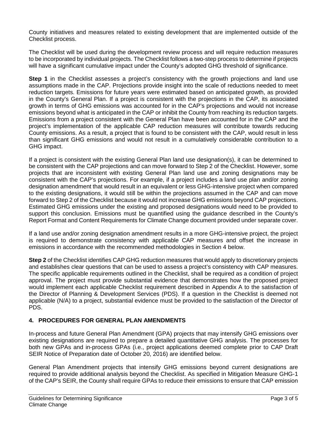County initiatives and measures related to existing development that are implemented outside of the Checklist process.

The Checklist will be used during the development review process and will require reduction measures to be incorporated by individual projects. The Checklist follows a two-step process to determine if projects will have a significant cumulative impact under the County's adopted GHG threshold of significance.

**Step 1** in the Checklist assesses a project's consistency with the growth projections and land use assumptions made in the CAP. Projections provide insight into the scale of reductions needed to meet reduction targets. Emissions for future years were estimated based on anticipated growth, as provided in the County's General Plan. If a project is consistent with the projections in the CAP, its associated growth in terms of GHG emissions was accounted for in the CAP's projections and would not increase emissions beyond what is anticipated in the CAP or inhibit the County from reaching its reduction targets. Emissions from a project consistent with the General Plan have been accounted for in the CAP and the project's implementation of the applicable CAP reduction measures will contribute towards reducing County emissions. As a result, a project that is found to be consistent with the CAP, would result in less than significant GHG emissions and would not result in a cumulatively considerable contribution to a GHG impact.

If a project is consistent with the existing General Plan land use designation(s), it can be determined to be consistent with the CAP projections and can move forward to Step 2 of the Checklist. However, some projects that are inconsistent with existing General Plan land use and zoning designations may be consistent with the CAP's projections. For example, if a project includes a land use plan and/or zoning designation amendment that would result in an equivalent or less GHG-intensive project when compared to the existing designations, it would still be within the projections assumed in the CAP and can move forward to Step 2 of the Checklist because it would not increase GHG emissions beyond CAP projections. Estimated GHG emissions under the existing and proposed designations would need to be provided to support this conclusion. Emissions must be quantified using the guidance described in the County's Report Format and Content Requirements for Climate Change document provided under separate cover.

If a land use and/or zoning designation amendment results in a more GHG-intensive project, the project is required to demonstrate consistency with applicable CAP measures and offset the increase in emissions in accordance with the recommended methodologies in Section 4 below.

**Step 2** of the Checklist identifies CAP GHG reduction measures that would apply to discretionary projects and establishes clear questions that can be used to assess a project's consistency with CAP measures. The specific applicable requirements outlined in the Checklist, shall be required as a condition of project approval. The project must provide substantial evidence that demonstrates how the proposed project would implement each applicable Checklist requirement described in Appendix A to the satisfaction of the Director of Planning & Development Services (PDS). If a question in the Checklist is deemed not applicable (N/A) to a project, substantial evidence must be provided to the satisfaction of the Director of PDS.

#### **4. PROCEDURES FOR GENERAL PLAN AMENDMENTS**

In-process and future General Plan Amendment (GPA) projects that may intensify GHG emissions over existing designations are required to prepare a detailed quantitative GHG analysis. The processes for both new GPAs and in-process GPAs (i.e., project applications deemed complete prior to CAP Draft SEIR Notice of Preparation date of October 20, 2016) are identified below.

General Plan Amendment projects that intensify GHG emissions beyond current designations are required to provide additional analysis beyond the Checklist. As specified in Mitigation Measure GHG-1 of the CAP's SEIR, the County shall require GPAs to reduce their emissions to ensure that CAP emission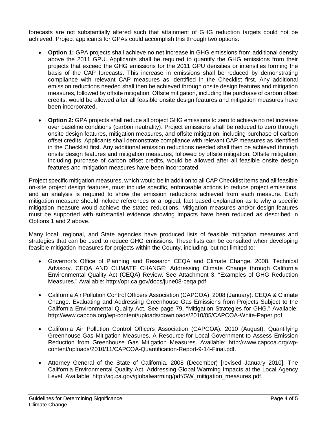forecasts are not substantially altered such that attainment of GHG reduction targets could not be achieved. Project applicants for GPAs could accomplish this through two options:

- **Option 1:** GPA projects shall achieve no net increase in GHG emissions from additional density above the 2011 GPU. Applicants shall be required to quantify the GHG emissions from their projects that exceed the GHG emissions for the 2011 GPU densities or intensities forming the basis of the CAP forecasts. This increase in emissions shall be reduced by demonstrating compliance with relevant CAP measures as identified in the Checklist first. Any additional emission reductions needed shall then be achieved through onsite design features and mitigation measures, followed by offsite mitigation. Offsite mitigation, including the purchase of carbon offset credits, would be allowed after all feasible onsite design features and mitigation measures have been incorporated.
- **Option 2:** GPA projects shall reduce all project GHG emissions to zero to achieve no net increase over baseline conditions (carbon neutrality). Project emissions shall be reduced to zero through onsite design features, mitigation measures, and offsite mitigation, including purchase of carbon offset credits. Applicants shall demonstrate compliance with relevant CAP measures as identified in the Checklist first. Any additional emission reductions needed shall then be achieved through onsite design features and mitigation measures, followed by offsite mitigation. Offsite mitigation, including purchase of carbon offset credits, would be allowed after all feasible onsite design features and mitigation measures have been incorporated.

Project specific mitigation measures, which would be in addition to all CAP Checklist items and all feasible on-site project design features, must include specific, enforceable actions to reduce project emissions, and an analysis is required to show the emission reductions achieved from each measure. Each mitigation measure should include references or a logical, fact based explanation as to why a specific mitigation measure would achieve the stated reductions. Mitigation measures and/or design features must be supported with substantial evidence showing impacts have been reduced as described in Options 1 and 2 above.

Many local, regional, and State agencies have produced lists of feasible mitigation measures and strategies that can be used to reduce GHG emissions. These lists can be consulted when developing feasible mitigation measures for projects within the County, including, but not limited to:

- Governor's Office of Planning and Research CEQA and Climate Change. 2008. Technical Advisory. CEQA AND CLIMATE CHANGE: Addressing Climate Change through California Environmental Quality Act (CEQA) Review. See Attachment 3, "Examples of GHG Reduction Measures." Available: [http://opr.ca.gov/docs/june08-ceqa.pdf.](http://opr.ca.gov/docs/june08-ceqa.pdf)
- California Air Pollution Control Officers Association (CAPCOA). 2008 (January). CEQA & Climate Change. Evaluating and Addressing Greenhouse Gas Emissions from Projects Subject to the California Environmental Quality Act. See page 79, "Mitigation Strategies for GHG." Available: [http://www.capcoa.org/wp-content/uploads/downloads/2010/05/CAPCOA-White-Paper.pdf.](http://www.capcoa.org/wp-content/uploads/downloads/2010/05/CAPCOA-White-Paper.pdf)
- California Air Pollution Control Officers Association (CAPCOA). 2010 (August). Quantifying Greenhouse Gas Mitigation Measures. A Resource for Local Government to Assess Emission Reduction from Greenhouse Gas Mitigation Measures. Available: [http://www.capcoa.org/wp](http://www.capcoa.org/wp-content/uploads/2010/11/CAPCOA-Quantification-Report-9-14-Final.pdf)[content/uploads/2010/11/CAPCOA-Quantification-Report-9-14-Final.pdf.](http://www.capcoa.org/wp-content/uploads/2010/11/CAPCOA-Quantification-Report-9-14-Final.pdf)
- Attorney General of the State of California. 2008 (December) [revised January 2010]. The California Environmental Quality Act. Addressing Global Warming Impacts at the Local Agency Level. Available: [http://ag.ca.gov/globalwarming/pdf/GW\\_mitigation\\_measures.pdf.](http://ag.ca.gov/globalwarming/pdf/GW_mitigation_measures.pdf)